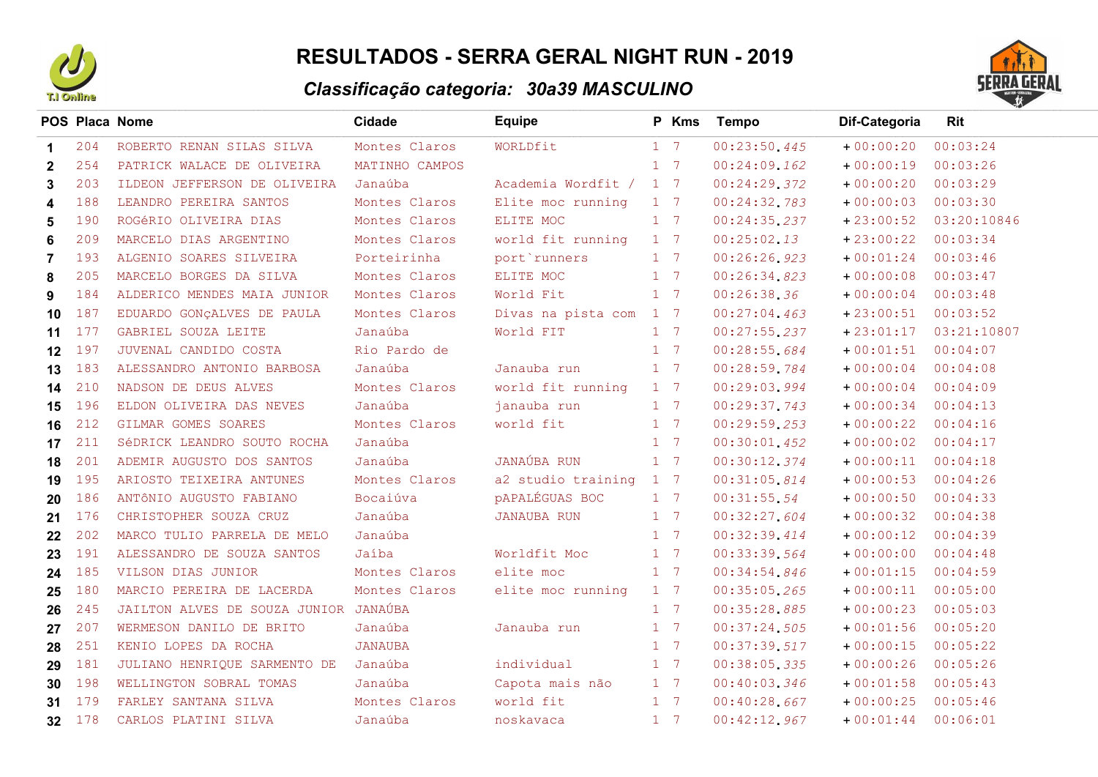

## RESULTADOS - SERRA GERAL NIGHT RUN - 2019

## Classificação categoria: 30a39 MASCULINO



|     |                                                 | Cidade         | <b>Equipe</b>                 |  | Tempo                                                                                                                                                                                                                                                                                                                                                                                                                                                                                                       | Dif-Categoria | Rit                  |
|-----|-------------------------------------------------|----------------|-------------------------------|--|-------------------------------------------------------------------------------------------------------------------------------------------------------------------------------------------------------------------------------------------------------------------------------------------------------------------------------------------------------------------------------------------------------------------------------------------------------------------------------------------------------------|---------------|----------------------|
| 204 | ROBERTO RENAN SILAS SILVA                       | Montes Claros  | WORLDfit                      |  | 00:23:50.445                                                                                                                                                                                                                                                                                                                                                                                                                                                                                                | $+00:00:20$   | 00:03:24             |
| 254 | PATRICK WALACE DE OLIVEIRA                      | MATINHO CAMPOS |                               |  | 00:24:09.162                                                                                                                                                                                                                                                                                                                                                                                                                                                                                                | $+00:00:19$   | 00:03:26             |
| 203 | ILDEON JEFFERSON DE OLIVEIRA                    | Janaúba        |                               |  | 00:24:29.372                                                                                                                                                                                                                                                                                                                                                                                                                                                                                                | $+00:00:20$   | 00:03:29             |
| 188 | LEANDRO PEREIRA SANTOS                          | Montes Claros  | Elite moc running             |  | 00:24:32.783                                                                                                                                                                                                                                                                                                                                                                                                                                                                                                | $+00:00:03$   | 00:03:30             |
| 190 | ROGÉRIO OLIVEIRA DIAS                           | Montes Claros  | ELITE MOC                     |  | 00:24:35.237                                                                                                                                                                                                                                                                                                                                                                                                                                                                                                | $+23:00:52$   | 03:20:10846          |
| 209 | MARCELO DIAS ARGENTINO                          | Montes Claros  | world fit running             |  | 00:25:02.13                                                                                                                                                                                                                                                                                                                                                                                                                                                                                                 | $+23:00:22$   | 00:03:34             |
| 193 | ALGENIO SOARES SILVEIRA                         | Porteirinha    | port runners                  |  | 00:26:26.923                                                                                                                                                                                                                                                                                                                                                                                                                                                                                                | $+00:01:24$   | 00:03:46             |
| 205 | MARCELO BORGES DA SILVA                         | Montes Claros  | ELITE MOC                     |  | 00:26:34.823                                                                                                                                                                                                                                                                                                                                                                                                                                                                                                | $+00:00:08$   | 00:03:47             |
| 184 | ALDERICO MENDES MAIA JUNIOR                     | Montes Claros  | World Fit                     |  | 00:26:38.36                                                                                                                                                                                                                                                                                                                                                                                                                                                                                                 | $+00:00:04$   | 00:03:48             |
| 187 | EDUARDO GONÇALVES DE PAULA                      | Montes Claros  | Divas na pista com            |  | 00:27:04.463                                                                                                                                                                                                                                                                                                                                                                                                                                                                                                | $+23:00:51$   | 00:03:52             |
| 177 | GABRIEL SOUZA LEITE                             | Janaúba        | World FIT                     |  | 00:27:55.237                                                                                                                                                                                                                                                                                                                                                                                                                                                                                                | $+23:01:17$   | 03:21:10807          |
| 197 | JUVENAL CANDIDO COSTA                           | Rio Pardo de   |                               |  | 00:28:55.684                                                                                                                                                                                                                                                                                                                                                                                                                                                                                                | $+00:01:51$   | 00:04:07             |
|     | ALESSANDRO ANTONIO BARBOSA                      | Janaúba        | Janauba run                   |  | 00:28:59.784                                                                                                                                                                                                                                                                                                                                                                                                                                                                                                | $+00:00:04$   | 00:04:08             |
| 210 | NADSON DE DEUS ALVES                            | Montes Claros  | world fit running             |  | 00:29:03.994                                                                                                                                                                                                                                                                                                                                                                                                                                                                                                | $+00:00:04$   | 00:04:09             |
|     | ELDON OLIVEIRA DAS NEVES                        | Janaúba        | janauba run                   |  | 00:29:37.743                                                                                                                                                                                                                                                                                                                                                                                                                                                                                                | $+00:00:34$   | 00:04:13             |
| 212 | GILMAR GOMES SOARES                             | Montes Claros  | world fit                     |  | 00:29:59.253                                                                                                                                                                                                                                                                                                                                                                                                                                                                                                | $+00:00:22$   | 00:04:16             |
| 211 | SéDRICK LEANDRO SOUTO ROCHA                     | Janaúba        |                               |  | 00:30:01,452                                                                                                                                                                                                                                                                                                                                                                                                                                                                                                | $+00:00:02$   | 00:04:17             |
| 201 | ADEMIR AUGUSTO DOS SANTOS                       | Janaúba        | JANAÚBA RUN                   |  | 00:30:12.374                                                                                                                                                                                                                                                                                                                                                                                                                                                                                                | $+00:00:11$   | 00:04:18             |
| 195 | ARIOSTO TEIXEIRA ANTUNES                        | Montes Claros  |                               |  | 00:31:05.814                                                                                                                                                                                                                                                                                                                                                                                                                                                                                                | $+00:00:53$   | 00:04:26             |
| 186 | ANTÔNIO AUGUSTO FABIANO                         | Bocaiúva       | <b>PAPALÉGUAS BOC</b>         |  | 00:31:55.54                                                                                                                                                                                                                                                                                                                                                                                                                                                                                                 | $+00:00:50$   | 00:04:33             |
| 176 | CHRISTOPHER SOUZA CRUZ                          | Janaúba        | JANAUBA RUN                   |  | 00:32:27.604                                                                                                                                                                                                                                                                                                                                                                                                                                                                                                | $+00:00:32$   | 00:04:38             |
| 202 | MARCO TULIO PARRELA DE MELO                     | Janaúba        |                               |  | 00:32:39.414                                                                                                                                                                                                                                                                                                                                                                                                                                                                                                | $+00:00:12$   | 00:04:39             |
| 191 | ALESSANDRO DE SOUZA SANTOS                      | Jaíba          | Worldfit Moc                  |  | 00:33:39.564                                                                                                                                                                                                                                                                                                                                                                                                                                                                                                | $+00:00:00$   | 00:04:48             |
|     | VILSON DIAS JUNIOR                              | Montes Claros  | elite moc                     |  | 00:34:54.846                                                                                                                                                                                                                                                                                                                                                                                                                                                                                                | $+00:01:15$   | 00:04:59             |
| 180 | MARCIO PEREIRA DE LACERDA                       | Montes Claros  | elite moc running             |  | 00:35:05.265                                                                                                                                                                                                                                                                                                                                                                                                                                                                                                | $+00:00:11$   | 00:05:00             |
| 245 |                                                 | JANAÚBA        |                               |  | 00:35:28.885                                                                                                                                                                                                                                                                                                                                                                                                                                                                                                | $+00:00:23$   | 00:05:03             |
| 207 | WERMESON DANILO DE BRITO                        | Janaúba        | Janauba run                   |  |                                                                                                                                                                                                                                                                                                                                                                                                                                                                                                             | $+00:01:56$   | 00:05:20             |
| 251 | KENIO LOPES DA ROCHA                            | <b>JANAUBA</b> |                               |  | 00:37:39.517                                                                                                                                                                                                                                                                                                                                                                                                                                                                                                | $+00:00:15$   | 00:05:22             |
| 181 | JULIANO HENRIQUE SARMENTO DE                    | Janaúba        | individual                    |  | 00:38:05.335                                                                                                                                                                                                                                                                                                                                                                                                                                                                                                | $+00:00:26$   | 00:05:26             |
|     | WELLINGTON SOBRAL TOMAS                         | Janaúba        | Capota mais não               |  | 00:40:03.346                                                                                                                                                                                                                                                                                                                                                                                                                                                                                                | $+00:01:58$   | 00:05:43             |
|     | FARLEY SANTANA SILVA                            | Montes Claros  | world fit                     |  | 00:40:28.667                                                                                                                                                                                                                                                                                                                                                                                                                                                                                                | $+00:00:25$   | 00:05:46             |
|     | CARLOS PLATINI SILVA                            | Janaúba        | noskavaca                     |  | 00:42:12.967                                                                                                                                                                                                                                                                                                                                                                                                                                                                                                |               |                      |
|     | 183<br>14<br>196<br>185<br>198<br>179<br>32 178 | POS Placa Nome | JAILTON ALVES DE SOUZA JUNIOR |  | P Kms<br>$1 \quad 7$<br>1 7<br>Academia Wordfit / 1 7<br>$1 \quad 7$<br>$1 \quad 7$<br>$1 \quad 7$<br>$1 \quad 7$<br>$1 \quad 7$<br>$1 \quad 7$<br>$1 \quad 7$<br>$1 \quad 7$<br>$1 \quad 7$<br>$1 \quad 7$<br>$1 \quad 7$<br>$1 \quad 7$<br>$1 \quad 7$<br>$1 \quad 7$<br>$1 \quad 7$<br>a2 studio training 1 7<br>$1 \quad 7$<br>$1 \quad 7$<br>$1 \quad 7$<br>$1 \quad 7$<br>$1 \quad 7$<br>$1 \quad 7$<br>$1 \quad 7$<br>$1 \quad 7$<br>1 7<br>$1 \quad 7$<br>$1 \quad 7$<br>$1 \quad 7$<br>$1 \quad 7$ | 00:37:24.505  | $+00:01:44$ 00:06:01 |